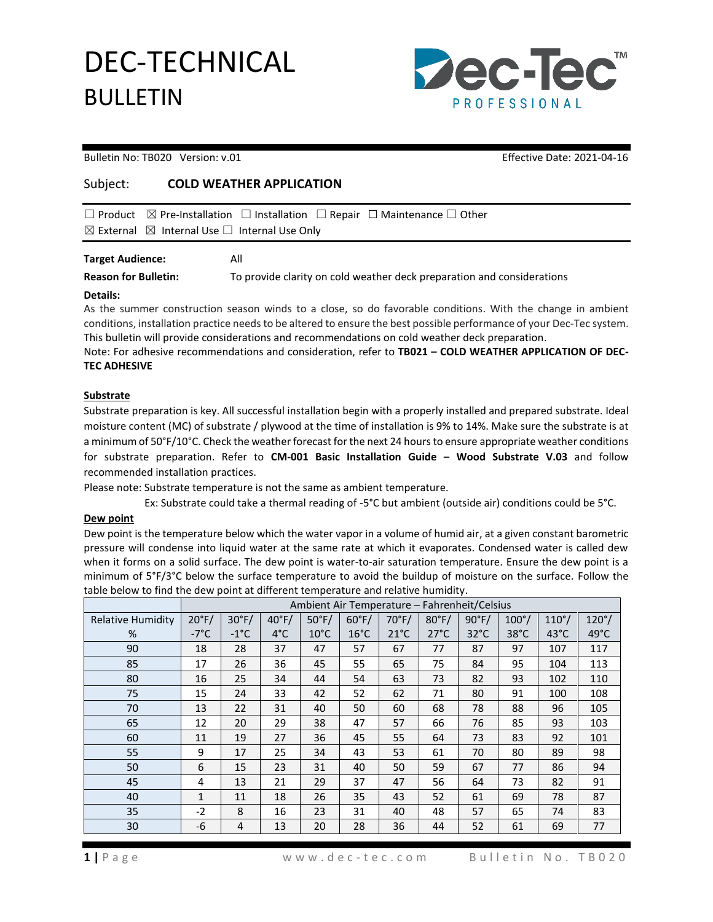## DEC-TECHNICAL BULLETIN



### Bulletin No: TB020 Version: v.01 Channel Communication: Communication: Effective Date: 2021-04-16

## Subject: **COLD WEATHER APPLICATION**

| $\boxtimes$ External $\boxtimes$ Internal Use $\Box$ Internal Use Only |  |  | $\Box$ Product $\Box$ Pre-Installation $\Box$ Installation $\Box$ Repair $\Box$ Maintenance $\Box$ Other |  |
|------------------------------------------------------------------------|--|--|----------------------------------------------------------------------------------------------------------|--|
|                                                                        |  |  |                                                                                                          |  |

### **Target Audience:** All

**Reason for Bulletin:** To provide clarity on cold weather deck preparation and considerations

#### **Details:**

As the summer construction season winds to a close, so do favorable conditions. With the change in ambient conditions, installation practice needs to be altered to ensure the best possible performance of your Dec-Tec system. This bulletin will provide considerations and recommendations on cold weather deck preparation.

Note: For adhesive recommendations and consideration, refer to **TB021 – COLD WEATHER APPLICATION OF DEC-TEC ADHESIVE** 

### **Substrate**

Substrate preparation is key. All successful installation begin with a properly installed and prepared substrate. Ideal moisture content (MC) of substrate / plywood at the time of installation is 9% to 14%. Make sure the substrate is at a minimum of 50°F/10°C. Check the weather forecast for the next 24 hours to ensure appropriate weather conditions for substrate preparation. Refer to **CM-001 Basic Installation Guide – Wood Substrate V.03** and follow recommended installation practices.

Please note: Substrate temperature is not the same as ambient temperature.

Ex: Substrate could take a thermal reading of -5°C but ambient (outside air) conditions could be 5°C.

### **Dew point**

Dew point is the temperature below which the water vapor in a volume of humid air, at a given constant barometric pressure will condense into liquid water at the same rate at which it evaporates. Condensed water is called dew when it forms on a solid surface. The dew point is water-to-air saturation temperature. Ensure the dew point is a minimum of 5°F/3°C below the surface temperature to avoid the buildup of moisture on the surface. Follow the table below to find the dew point at different temperature and relative humidity.

|                          | Ambient Air Temperature – Fahrenheit/Celsius |                 |                 |                 |                 |                 |                 |                 |                |                |              |
|--------------------------|----------------------------------------------|-----------------|-----------------|-----------------|-----------------|-----------------|-----------------|-----------------|----------------|----------------|--------------|
| <b>Relative Humidity</b> | $20^{\circ}F/$                               | $30^{\circ}$ F/ | $40^{\circ}$ F/ | $50^{\circ}$ F/ | $60^{\circ}$ F/ | $70^{\circ}$ F/ | $80^{\circ}$ F/ | $90^{\circ}$ F/ | $100^{\circ}/$ | $110^\circ/$   | $120^\circ/$ |
| %                        | $-7^{\circ}$ C                               | $-1^{\circ}$ C  | $4^{\circ}$ C   | $10^{\circ}$ C  | $16^{\circ}$ C  | $21^{\circ}$ C  | $27^{\circ}$ C  | $32^{\circ}$ C  | $38^{\circ}$ C | $43^{\circ}$ C | 49°C         |
| 90                       | 18                                           | 28              | 37              | 47              | 57              | 67              | 77              | 87              | 97             | 107            | 117          |
| 85                       | 17                                           | 26              | 36              | 45              | 55              | 65              | 75              | 84              | 95             | 104            | 113          |
| 80                       | 16                                           | 25              | 34              | 44              | 54              | 63              | 73              | 82              | 93             | 102            | 110          |
| 75                       | 15                                           | 24              | 33              | 42              | 52              | 62              | 71              | 80              | 91             | 100            | 108          |
| 70                       | 13                                           | 22              | 31              | 40              | 50              | 60              | 68              | 78              | 88             | 96             | 105          |
| 65                       | 12                                           | 20              | 29              | 38              | 47              | 57              | 66              | 76              | 85             | 93             | 103          |
| 60                       | 11                                           | 19              | 27              | 36              | 45              | 55              | 64              | 73              | 83             | 92             | 101          |
| 55                       | 9                                            | 17              | 25              | 34              | 43              | 53              | 61              | 70              | 80             | 89             | 98           |
| 50                       | 6                                            | 15              | 23              | 31              | 40              | 50              | 59              | 67              | 77             | 86             | 94           |
| 45                       | 4                                            | 13              | 21              | 29              | 37              | 47              | 56              | 64              | 73             | 82             | 91           |
| 40                       | $\mathbf{1}$                                 | 11              | 18              | 26              | 35              | 43              | 52              | 61              | 69             | 78             | 87           |
| 35                       | $-2$                                         | 8               | 16              | 23              | 31              | 40              | 48              | 57              | 65             | 74             | 83           |
| 30                       | -6                                           | 4               | 13              | 20              | 28              | 36              | 44              | 52              | 61             | 69             | 77           |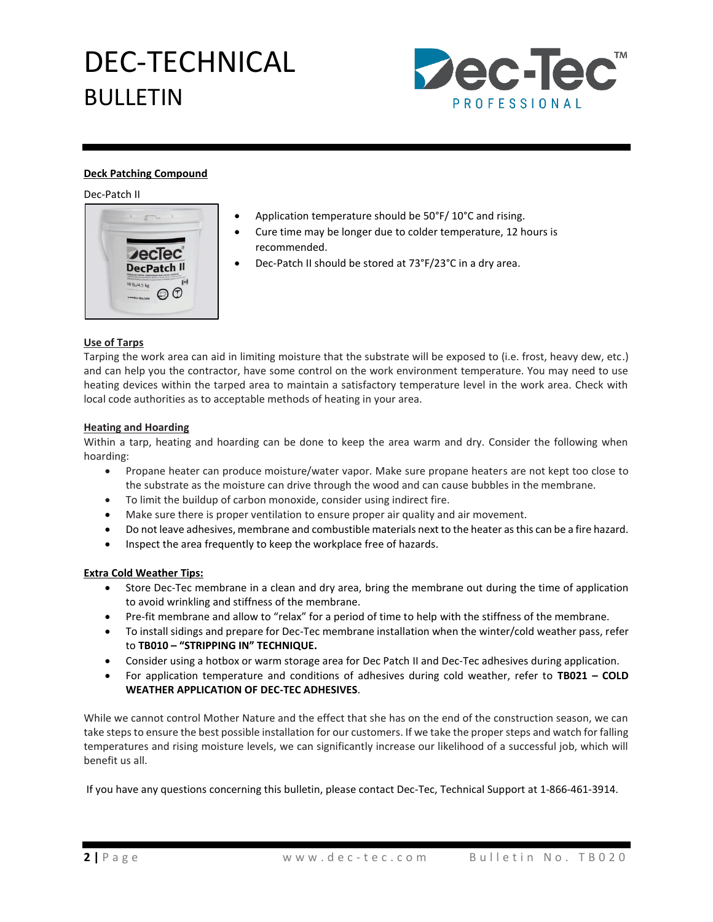# DEC-TECHNICAL BULLETIN



### **Deck Patching Compound**

Dec-Patch II



- Application temperature should be 50°F/ 10°C and rising.
- Cure time may be longer due to colder temperature, 12 hours is recommended.
- Dec-Patch II should be stored at 73°F/23°C in a dry area.

## **Use of Tarps**

Tarping the work area can aid in limiting moisture that the substrate will be exposed to (i.e. frost, heavy dew, etc.) and can help you the contractor, have some control on the work environment temperature. You may need to use heating devices within the tarped area to maintain a satisfactory temperature level in the work area. Check with local code authorities as to acceptable methods of heating in your area.

### **Heating and Hoarding**

Within a tarp, heating and hoarding can be done to keep the area warm and dry. Consider the following when hoarding:

- Propane heater can produce moisture/water vapor. Make sure propane heaters are not kept too close to the substrate as the moisture can drive through the wood and can cause bubbles in the membrane.
- To limit the buildup of carbon monoxide, consider using indirect fire.
- Make sure there is proper ventilation to ensure proper air quality and air movement.
- Do not leave adhesives, membrane and combustible materials next to the heater as this can be a fire hazard.
- Inspect the area frequently to keep the workplace free of hazards.

## **Extra Cold Weather Tips:**

- Store Dec-Tec membrane in a clean and dry area, bring the membrane out during the time of application to avoid wrinkling and stiffness of the membrane.
- Pre-fit membrane and allow to "relax" for a period of time to help with the stiffness of the membrane.
- To install sidings and prepare for Dec-Tec membrane installation when the winter/cold weather pass, refer to **TB010 – "STRIPPING IN" TECHNIQUE.**
- Consider using a hotbox or warm storage area for Dec Patch II and Dec-Tec adhesives during application.
- For application temperature and conditions of adhesives during cold weather, refer to **TB021 – COLD WEATHER APPLICATION OF DEC-TEC ADHESIVES**.

While we cannot control Mother Nature and the effect that she has on the end of the construction season, we can take steps to ensure the best possible installation for our customers. If we take the proper steps and watch for falling temperatures and rising moisture levels, we can significantly increase our likelihood of a successful job, which will benefit us all.

If you have any questions concerning this bulletin, please contact Dec-Tec, Technical Support at 1-866-461-3914.